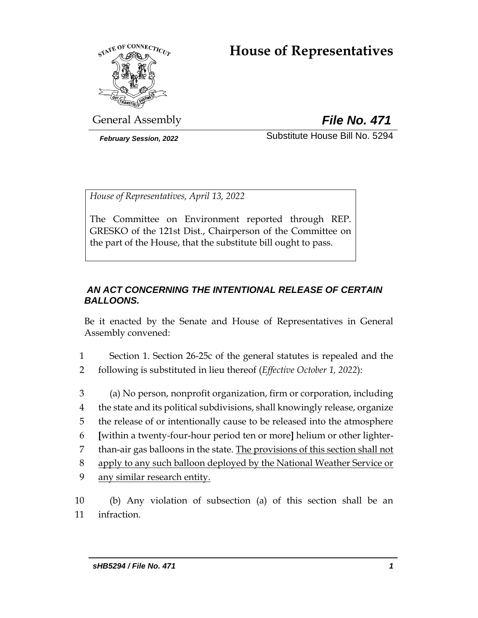# **House of Representatives**



General Assembly *File No. 471*

*February Session, 2022* Substitute House Bill No. 5294

*House of Representatives, April 13, 2022*

The Committee on Environment reported through REP. GRESKO of the 121st Dist., Chairperson of the Committee on the part of the House, that the substitute bill ought to pass.

### *AN ACT CONCERNING THE INTENTIONAL RELEASE OF CERTAIN BALLOONS.*

Be it enacted by the Senate and House of Representatives in General Assembly convened:

1 Section 1. Section 26-25c of the general statutes is repealed and the 2 following is substituted in lieu thereof (*Effective October 1, 2022*):

 (a) No person, nonprofit organization, firm or corporation, including the state and its political subdivisions, shall knowingly release, organize the release of or intentionally cause to be released into the atmosphere **[**within a twenty-four-hour period ten or more**]** helium or other lighter-7 than-air gas balloons in the state. The provisions of this section shall not apply to any such balloon deployed by the National Weather Service or any similar research entity.

10 (b) Any violation of subsection (a) of this section shall be an 11 infraction.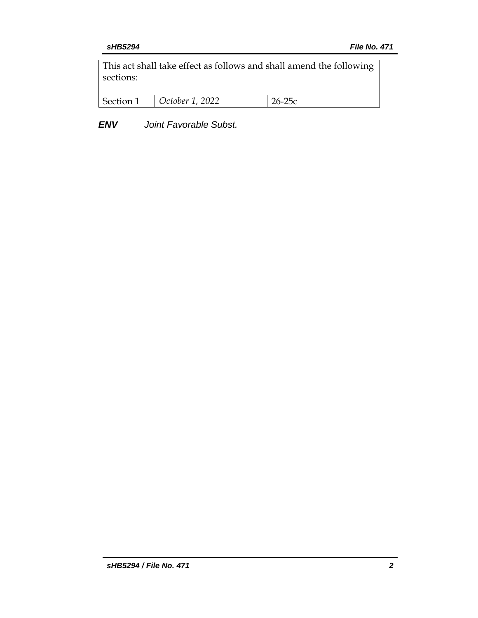This act shall take effect as follows and shall amend the following sections:

| Section 1 | $\vert$ October 1, 2022 |  |
|-----------|-------------------------|--|
|           |                         |  |

*ENV Joint Favorable Subst.*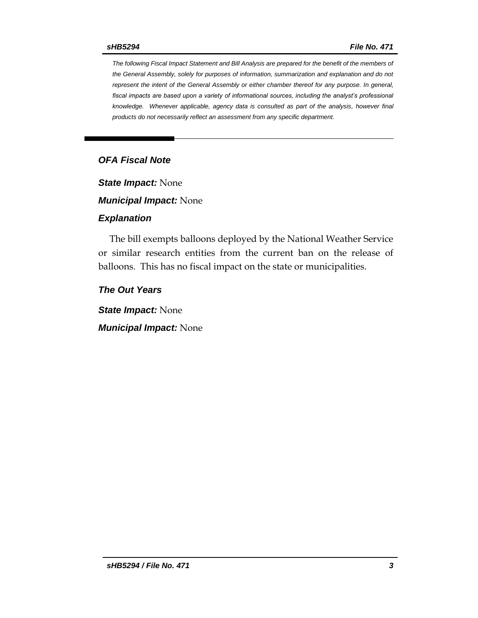*The following Fiscal Impact Statement and Bill Analysis are prepared for the benefit of the members of the General Assembly, solely for purposes of information, summarization and explanation and do not represent the intent of the General Assembly or either chamber thereof for any purpose. In general, fiscal impacts are based upon a variety of informational sources, including the analyst's professional knowledge. Whenever applicable, agency data is consulted as part of the analysis, however final products do not necessarily reflect an assessment from any specific department.*

#### *OFA Fiscal Note*

*State Impact:* None

*Municipal Impact:* None

#### *Explanation*

The bill exempts balloons deployed by the National Weather Service or similar research entities from the current ban on the release of balloons. This has no fiscal impact on the state or municipalities.

*The Out Years*

*State Impact:* None

*Municipal Impact:* None